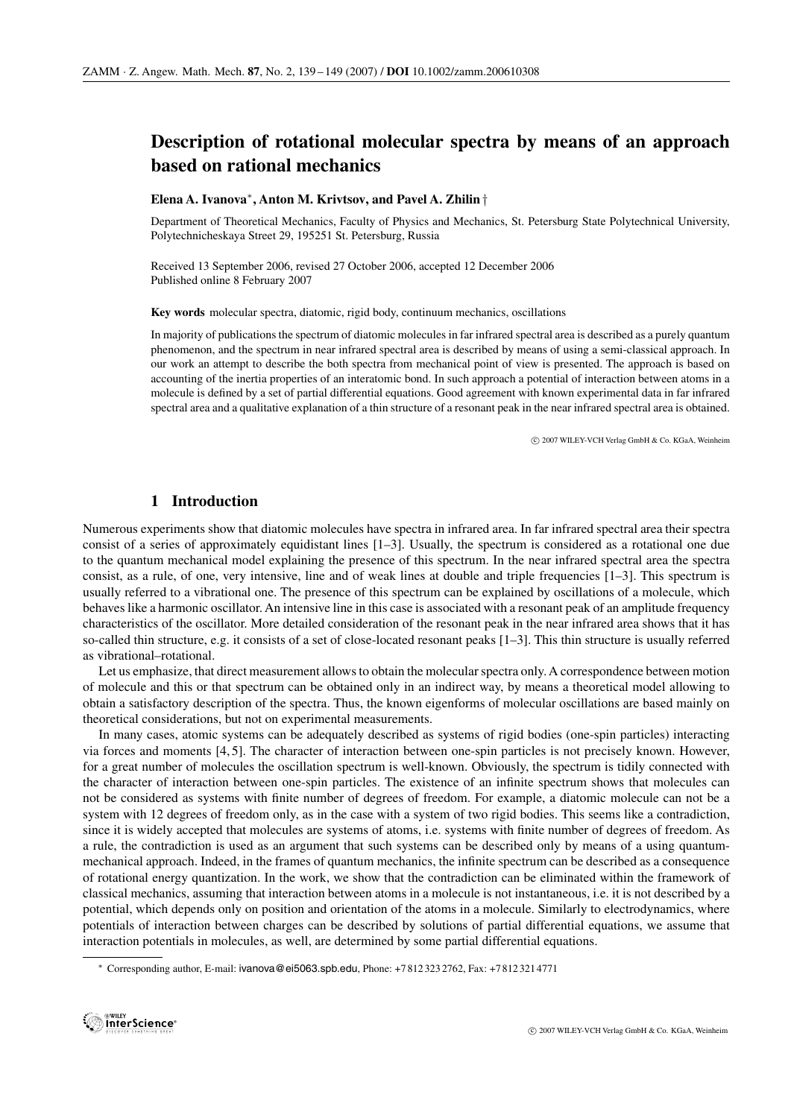# **Description of rotational molecular spectra by means of an approach based on rational mechanics**

#### **Elena A. Ivanova**∗**, Anton M. Krivtsov, and Pavel A. Zhilin** †

Department of Theoretical Mechanics, Faculty of Physics and Mechanics, St. Petersburg State Polytechnical University, Polytechnicheskaya Street 29, 195251 St. Petersburg, Russia

Received 13 September 2006, revised 27 October 2006, accepted 12 December 2006 Published online 8 February 2007

**Key words** molecular spectra, diatomic, rigid body, continuum mechanics, oscillations

In majority of publications the spectrum of diatomic molecules in far infrared spectral area is described as a purely quantum phenomenon, and the spectrum in near infrared spectral area is described by means of using a semi-classical approach. In our work an attempt to describe the both spectra from mechanical point of view is presented. The approach is based on accounting of the inertia properties of an interatomic bond. In such approach a potential of interaction between atoms in a molecule is defined by a set of partial differential equations. Good agreement with known experimental data in far infrared spectral area and a qualitative explanation of a thin structure of a resonant peak in the near infrared spectral area is obtained.

 $\circled{c}$  2007 WILEY-VCH Verlag GmbH & Co. KGaA, Weinheim

#### **1 Introduction**

Numerous experiments show that diatomic molecules have spectra in infrared area. In far infrared spectral area their spectra consist of a series of approximately equidistant lines [1–3]. Usually, the spectrum is considered as a rotational one due to the quantum mechanical model explaining the presence of this spectrum. In the near infrared spectral area the spectra consist, as a rule, of one, very intensive, line and of weak lines at double and triple frequencies [1–3]. This spectrum is usually referred to a vibrational one. The presence of this spectrum can be explained by oscillations of a molecule, which behaves like a harmonic oscillator. An intensive line in this case is associated with a resonant peak of an amplitude frequency characteristics of the oscillator. More detailed consideration of the resonant peak in the near infrared area shows that it has so-called thin structure, e.g. it consists of a set of close-located resonant peaks [1–3]. This thin structure is usually referred as vibrational–rotational.

Let us emphasize, that direct measurement allows to obtain the molecular spectra only. A correspondence between motion of molecule and this or that spectrum can be obtained only in an indirect way, by means a theoretical model allowing to obtain a satisfactory description of the spectra. Thus, the known eigenforms of molecular oscillations are based mainly on theoretical considerations, but not on experimental measurements.

In many cases, atomic systems can be adequately described as systems of rigid bodies (one-spin particles) interacting via forces and moments [4, 5]. The character of interaction between one-spin particles is not precisely known. However, for a great number of molecules the oscillation spectrum is well-known. Obviously, the spectrum is tidily connected with the character of interaction between one-spin particles. The existence of an infinite spectrum shows that molecules can not be considered as systems with finite number of degrees of freedom. For example, a diatomic molecule can not be a system with 12 degrees of freedom only, as in the case with a system of two rigid bodies. This seems like a contradiction, since it is widely accepted that molecules are systems of atoms, i.e. systems with finite number of degrees of freedom. As a rule, the contradiction is used as an argument that such systems can be described only by means of a using quantummechanical approach. Indeed, in the frames of quantum mechanics, the infinite spectrum can be described as a consequence of rotational energy quantization. In the work, we show that the contradiction can be eliminated within the framework of classical mechanics, assuming that interaction between atoms in a molecule is not instantaneous, i.e. it is not described by a potential, which depends only on position and orientation of the atoms in a molecule. Similarly to electrodynamics, where potentials of interaction between charges can be described by solutions of partial differential equations, we assume that interaction potentials in molecules, as well, are determined by some partial differential equations.

<sup>∗</sup> Corresponding author, E-mail: ivanova@ei5063.spb.edu, Phone: +7 812 323 2762, Fax: +7 812 321 4771

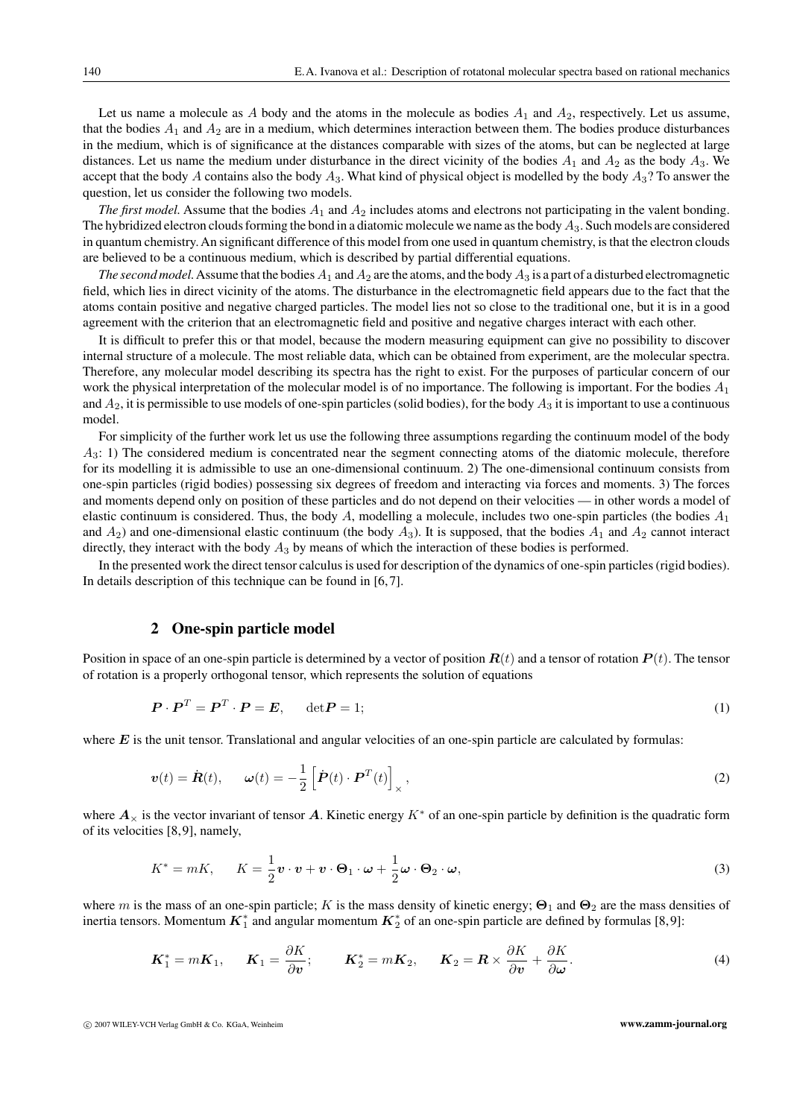Let us name a molecule as A body and the atoms in the molecule as bodies  $A_1$  and  $A_2$ , respectively. Let us assume, that the bodies  $A_1$  and  $A_2$  are in a medium, which determines interaction between them. The bodies produce disturbances in the medium, which is of significance at the distances comparable with sizes of the atoms, but can be neglected at large distances. Let us name the medium under disturbance in the direct vicinity of the bodies  $A_1$  and  $A_2$  as the body  $A_3$ . We accept that the body A contains also the body  $A_3$ . What kind of physical object is modelled by the body  $A_3$ ? To answer the question, let us consider the following two models.

*The first model.* Assume that the bodies  $A_1$  and  $A_2$  includes atoms and electrons not participating in the valent bonding. The hybridized electron clouds forming the bond in a diatomic molecule we name as the body  $A_3$ . Such models are considered in quantum chemistry. An significant difference of this model from one used in quantum chemistry, is that the electron clouds are believed to be a continuous medium, which is described by partial differential equations.

*The second model.* Assume that the bodies  $A_1$  and  $A_2$  are the atoms, and the body  $A_3$  is a part of a disturbed electromagnetic field, which lies in direct vicinity of the atoms. The disturbance in the electromagnetic field appears due to the fact that the atoms contain positive and negative charged particles. The model lies not so close to the traditional one, but it is in a good agreement with the criterion that an electromagnetic field and positive and negative charges interact with each other.

It is difficult to prefer this or that model, because the modern measuring equipment can give no possibility to discover internal structure of a molecule. The most reliable data, which can be obtained from experiment, are the molecular spectra. Therefore, any molecular model describing its spectra has the right to exist. For the purposes of particular concern of our work the physical interpretation of the molecular model is of no importance. The following is important. For the bodies  $A_1$ and  $A_2$ , it is permissible to use models of one-spin particles (solid bodies), for the body  $A_3$  it is important to use a continuous model.

For simplicity of the further work let us use the following three assumptions regarding the continuum model of the body  $A_3$ : 1) The considered medium is concentrated near the segment connecting atoms of the diatomic molecule, therefore for its modelling it is admissible to use an one-dimensional continuum. 2) The one-dimensional continuum consists from one-spin particles (rigid bodies) possessing six degrees of freedom and interacting via forces and moments. 3) The forces and moments depend only on position of these particles and do not depend on their velocities — in other words a model of elastic continuum is considered. Thus, the body A, modelling a molecule, includes two one-spin particles (the bodies  $A_1$ and  $A_2$ ) and one-dimensional elastic continuum (the body  $A_3$ ). It is supposed, that the bodies  $A_1$  and  $A_2$  cannot interact directly, they interact with the body  $A_3$  by means of which the interaction of these bodies is performed.

In the presented work the direct tensor calculus is used for description of the dynamics of one-spin particles (rigid bodies). In details description of this technique can be found in [6,7].

#### **2 One-spin particle model**

Position in space of an one-spin particle is determined by a vector of position  $R(t)$  and a tensor of rotation  $P(t)$ . The tensor of rotation is a properly orthogonal tensor, which represents the solution of equations

$$
\boldsymbol{P} \cdot \boldsymbol{P}^T = \boldsymbol{P}^T \cdot \boldsymbol{P} = \boldsymbol{E}, \qquad \det \boldsymbol{P} = 1; \tag{1}
$$

where *E* is the unit tensor. Translational and angular velocities of an one-spin particle are calculated by formulas:

$$
\boldsymbol{v}(t) = \dot{\boldsymbol{R}}(t), \qquad \boldsymbol{\omega}(t) = -\frac{1}{2} \left[ \dot{\boldsymbol{P}}(t) \cdot \boldsymbol{P}^T(t) \right]_{\times}, \tag{2}
$$

where  $A_\times$  is the vector invariant of tensor  $A$ . Kinetic energy  $K^*$  of an one-spin particle by definition is the quadratic form of its velocities [8, 9], namely,

$$
K^* = mK, \qquad K = \frac{1}{2}\boldsymbol{v}\cdot\boldsymbol{v} + \boldsymbol{v}\cdot\boldsymbol{\Theta}_1\cdot\boldsymbol{\omega} + \frac{1}{2}\boldsymbol{\omega}\cdot\boldsymbol{\Theta}_2\cdot\boldsymbol{\omega},\tag{3}
$$

where m is the mass of an one-spin particle; K is the mass density of kinetic energy;  $\Theta_1$  and  $\Theta_2$  are the mass densities of inertia tensors. Momentum  $K_1^*$  and angular momentum  $K_2^*$  of an one-spin particle are defined by formulas [8,9]:

$$
\boldsymbol{K}_{1}^{*} = m\boldsymbol{K}_{1}, \qquad \boldsymbol{K}_{1} = \frac{\partial K}{\partial v}; \qquad \boldsymbol{K}_{2}^{*} = m\boldsymbol{K}_{2}, \qquad \boldsymbol{K}_{2} = \boldsymbol{R} \times \frac{\partial K}{\partial v} + \frac{\partial K}{\partial \omega}.
$$
\n(4)

-c 2007 WILEY-VCH Verlag GmbH & Co. KGaA, Weinheim **www.zamm-journal.org**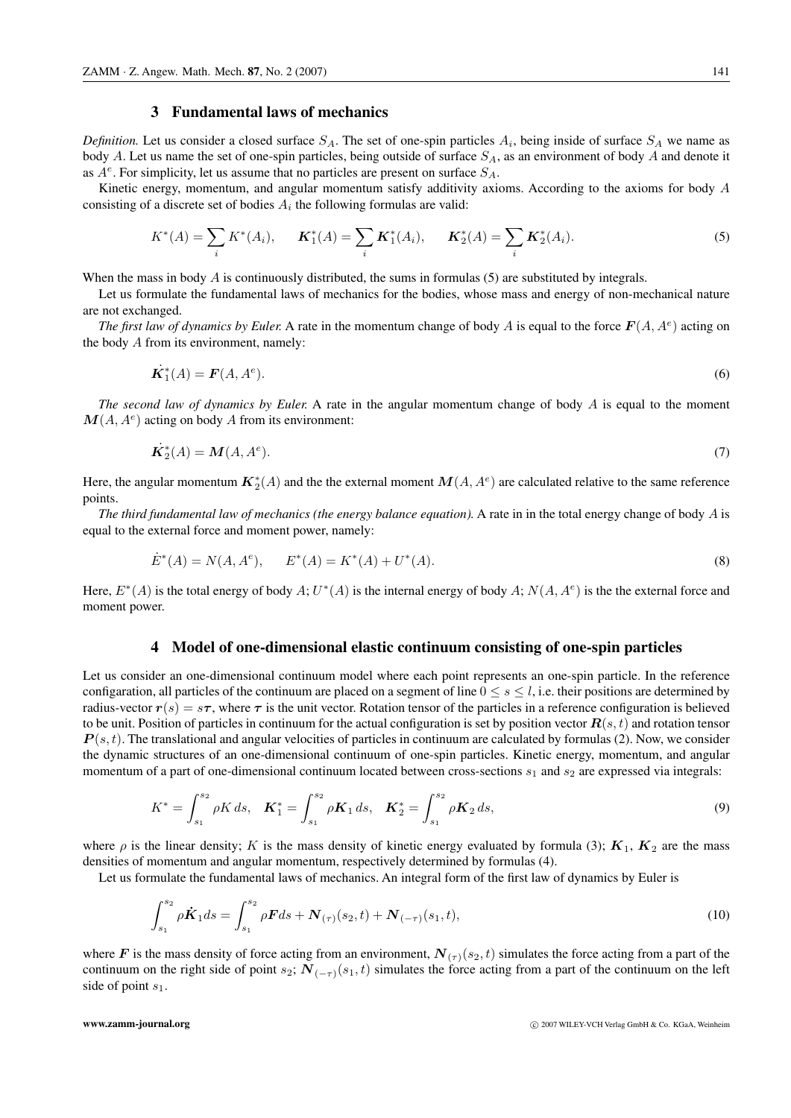#### **3 Fundamental laws of mechanics**

*Definition.* Let us consider a closed surface  $S_A$ . The set of one-spin particles  $A_i$ , being inside of surface  $S_A$  we name as body A. Let us name the set of one-spin particles, being outside of surface  $S_A$ , as an environment of body A and denote it as  $A^e$ . For simplicity, let us assume that no particles are present on surface  $S_A$ .

Kinetic energy, momentum, and angular momentum satisfy additivity axioms. According to the axioms for body A consisting of a discrete set of bodies  $A_i$  the following formulas are valid:

$$
K^*(A) = \sum_i K^*(A_i), \qquad K_1^*(A) = \sum_i K_1^*(A_i), \qquad K_2^*(A) = \sum_i K_2^*(A_i).
$$
 (5)

When the mass in body  $A$  is continuously distributed, the sums in formulas (5) are substituted by integrals.

Let us formulate the fundamental laws of mechanics for the bodies, whose mass and energy of non-mechanical nature are not exchanged.

*The first law of dynamics by Euler.* A rate in the momentum change of body A is equal to the force  $F(A, A^e)$  acting on the body A from its environment, namely:

$$
\mathbf{K}_1^*(A) = \mathbf{F}(A, A^e). \tag{6}
$$

*The second law of dynamics by Euler.* A rate in the angular momentum change of body A is equal to the moment  $M(A, A^e)$  acting on body A from its environment:

$$
\mathbf{K}_{2}^{*}(A) = \mathbf{M}(A, A^{e}). \tag{7}
$$

Here, the angular momentum  $\pmb{K}_2^*(A)$  and the the external moment  $\pmb{M}(A,A^e)$  are calculated relative to the same reference points.

*The third fundamental law of mechanics (the energy balance equation).* A rate in in the total energy change of body A is equal to the external force and moment power, namely:

$$
\dot{E}^*(A) = N(A, A^e), \qquad E^*(A) = K^*(A) + U^*(A). \tag{8}
$$

Here,  $E^*(A)$  is the total energy of body  $A$ ;  $U^*(A)$  is the internal energy of body  $A$ ;  $N(A, A^e)$  is the the external force and moment power.

#### **4 Model of one-dimensional elastic continuum consisting of one-spin particles**

Let us consider an one-dimensional continuum model where each point represents an one-spin particle. In the reference configaration, all particles of the continuum are placed on a segment of line  $0 \le s \le l$ , i.e. their positions are determined by radius-vector  $r(s) = s\tau$ , where  $\tau$  is the unit vector. Rotation tensor of the particles in a reference configuration is believed to be unit. Position of particles in continuum for the actual configuration is set by position vector  $\mathbf{R}(s,t)$  and rotation tensor  $P(s, t)$ . The translational and angular velocities of particles in continuum are calculated by formulas (2). Now, we consider the dynamic structures of an one-dimensional continuum of one-spin particles. Kinetic energy, momentum, and angular momentum of a part of one-dimensional continuum located between cross-sections  $s_1$  and  $s_2$  are expressed via integrals:

$$
K^* = \int_{s_1}^{s_2} \rho K \, ds, \quad \mathbf{K}_1^* = \int_{s_1}^{s_2} \rho \mathbf{K}_1 \, ds, \quad \mathbf{K}_2^* = \int_{s_1}^{s_2} \rho \mathbf{K}_2 \, ds,\tag{9}
$$

where  $\rho$  is the linear density; K is the mass density of kinetic energy evaluated by formula (3);  $K_1$ ,  $K_2$  are the mass densities of momentum and angular momentum, respectively determined by formulas (4).

Let us formulate the fundamental laws of mechanics. An integral form of the first law of dynamics by Euler is

$$
\int_{s_1}^{s_2} \rho \dot{K}_1 ds = \int_{s_1}^{s_2} \rho F ds + \mathcal{N}_{(\tau)}(s_2, t) + \mathcal{N}_{(-\tau)}(s_1, t), \tag{10}
$$

where *F* is the mass density of force acting from an environment,  $N_{(\tau)}(s_2, t)$  simulates the force acting from a part of the continuum on the right side of point  $s_2$ ;  $N_{(-\tau)}(s_1, t)$  simulates the force acting from a part of the continuum on the left side of point  $s_1$ .

 $www.zamm-journal.org$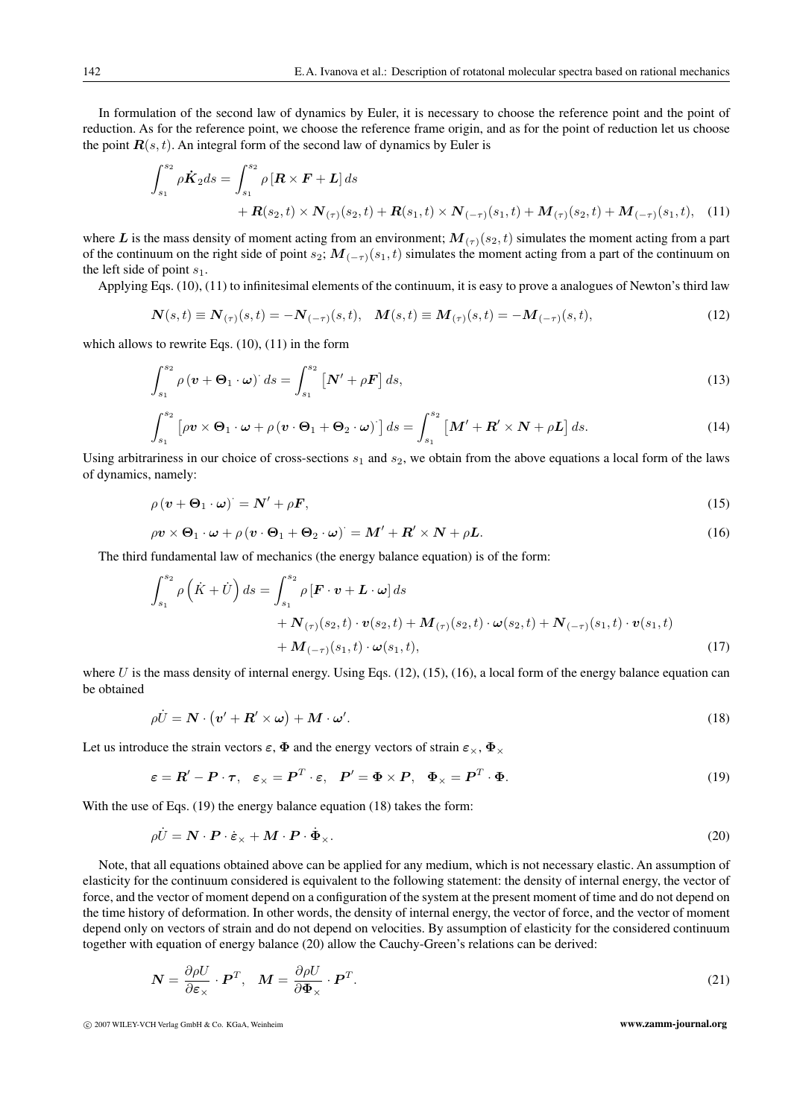In formulation of the second law of dynamics by Euler, it is necessary to choose the reference point and the point of reduction. As for the reference point, we choose the reference frame origin, and as for the point of reduction let us choose the point  $\mathbf{R}(s, t)$ . An integral form of the second law of dynamics by Euler is

$$
\int_{s_1}^{s_2} \rho \dot{K}_2 ds = \int_{s_1}^{s_2} \rho \left[ \mathbf{R} \times \mathbf{F} + \mathbf{L} \right] ds
$$
  
+  $\mathbf{R}(s_2, t) \times \mathbf{N}_{(\tau)}(s_2, t) + \mathbf{R}(s_1, t) \times \mathbf{N}_{(-\tau)}(s_1, t) + \mathbf{M}_{(\tau)}(s_2, t) + \mathbf{M}_{(-\tau)}(s_1, t), \quad (11)$ 

where *L* is the mass density of moment acting from an environment;  $M_{(\tau)}(s_2, t)$  simulates the moment acting from a part of the continuum on the right side of point  $s_2$ ;  $M_{(-\tau)}(s_1, t)$  simulates the moment acting from a part of the continuum on the left side of point  $s_1$ .

Applying Eqs. (10), (11) to infinitesimal elements of the continuum, it is easy to prove a analogues of Newton's third law

$$
\mathbf{N}(s,t) \equiv \mathbf{N}_{(\tau)}(s,t) = -\mathbf{N}_{(-\tau)}(s,t), \quad \mathbf{M}(s,t) \equiv \mathbf{M}_{(\tau)}(s,t) = -\mathbf{M}_{(-\tau)}(s,t), \tag{12}
$$

which allows to rewrite Eqs. (10), (11) in the form

$$
\int_{s_1}^{s_2} \rho \left( \mathbf{v} + \mathbf{\Theta}_1 \cdot \boldsymbol{\omega} \right)' ds = \int_{s_1}^{s_2} \left[ \boldsymbol{N}' + \rho \boldsymbol{F} \right] ds,
$$
\n(13)

$$
\int_{s_1}^{s_2} \left[ \rho v \times \Theta_1 \cdot \omega + \rho \left( v \cdot \Theta_1 + \Theta_2 \cdot \omega \right) \right] ds = \int_{s_1}^{s_2} \left[ M' + R' \times N + \rho L \right] ds. \tag{14}
$$

Using arbitrariness in our choice of cross-sections  $s_1$  and  $s_2$ , we obtain from the above equations a local form of the laws of dynamics, namely:

$$
\rho \left( \boldsymbol{v} + \boldsymbol{\Theta}_1 \cdot \boldsymbol{\omega} \right)^{\cdot} = \boldsymbol{N}' + \rho \boldsymbol{F},\tag{15}
$$

$$
\rho v \times \Theta_1 \cdot \omega + \rho (v \cdot \Theta_1 + \Theta_2 \cdot \omega) = M' + R' \times N + \rho L. \tag{16}
$$

The third fundamental law of mechanics (the energy balance equation) is of the form:

$$
\int_{s_1}^{s_2} \rho \left( \dot{K} + \dot{U} \right) ds = \int_{s_1}^{s_2} \rho \left[ \mathbf{F} \cdot \mathbf{v} + \mathbf{L} \cdot \boldsymbol{\omega} \right] ds \n+ \mathbf{N}_{(\tau)}(s_2, t) \cdot \mathbf{v}(s_2, t) + \mathbf{M}_{(\tau)}(s_2, t) \cdot \boldsymbol{\omega}(s_2, t) + \mathbf{N}_{(-\tau)}(s_1, t) \cdot \mathbf{v}(s_1, t) \n+ \mathbf{M}_{(-\tau)}(s_1, t) \cdot \boldsymbol{\omega}(s_1, t),
$$
\n(17)

where U is the mass density of internal energy. Using Eqs.  $(12)$ ,  $(15)$ ,  $(16)$ , a local form of the energy balance equation can be obtained

$$
\rho \dot{U} = \mathbf{N} \cdot (\mathbf{v}' + \mathbf{R}' \times \boldsymbol{\omega}) + \mathbf{M} \cdot \boldsymbol{\omega}'. \tag{18}
$$

Let us introduce the strain vectors  $\varepsilon$ ,  $\Phi$  and the energy vectors of strain  $\varepsilon_{\times}$ ,  $\Phi_{\times}$ 

$$
\varepsilon = \mathbf{R}' - \mathbf{P} \cdot \boldsymbol{\tau}, \quad \varepsilon_{\times} = \mathbf{P}^T \cdot \varepsilon, \quad \mathbf{P}' = \boldsymbol{\Phi} \times \mathbf{P}, \quad \boldsymbol{\Phi}_{\times} = \mathbf{P}^T \cdot \boldsymbol{\Phi}.
$$

With the use of Eqs. (19) the energy balance equation (18) takes the form:

$$
\rho \dot{U} = \mathbf{N} \cdot \mathbf{P} \cdot \dot{\boldsymbol{\varepsilon}}_{\times} + \mathbf{M} \cdot \mathbf{P} \cdot \dot{\boldsymbol{\Phi}}_{\times}.
$$
\n(20)

Note, that all equations obtained above can be applied for any medium, which is not necessary elastic. An assumption of elasticity for the continuum considered is equivalent to the following statement: the density of internal energy, the vector of force, and the vector of moment depend on a configuration of the system at the present moment of time and do not depend on the time history of deformation. In other words, the density of internal energy, the vector of force, and the vector of moment depend only on vectors of strain and do not depend on velocities. By assumption of elasticity for the considered continuum together with equation of energy balance (20) allow the Cauchy-Green's relations can be derived:

$$
\mathbf{N} = \frac{\partial \rho U}{\partial \boldsymbol{\varepsilon}_{\times}} \cdot \boldsymbol{P}^{T}, \quad \boldsymbol{M} = \frac{\partial \rho U}{\partial \boldsymbol{\Phi}_{\times}} \cdot \boldsymbol{P}^{T}.
$$
\n(21)

-c 2007 WILEY-VCH Verlag GmbH & Co. KGaA, Weinheim **www.zamm-journal.org**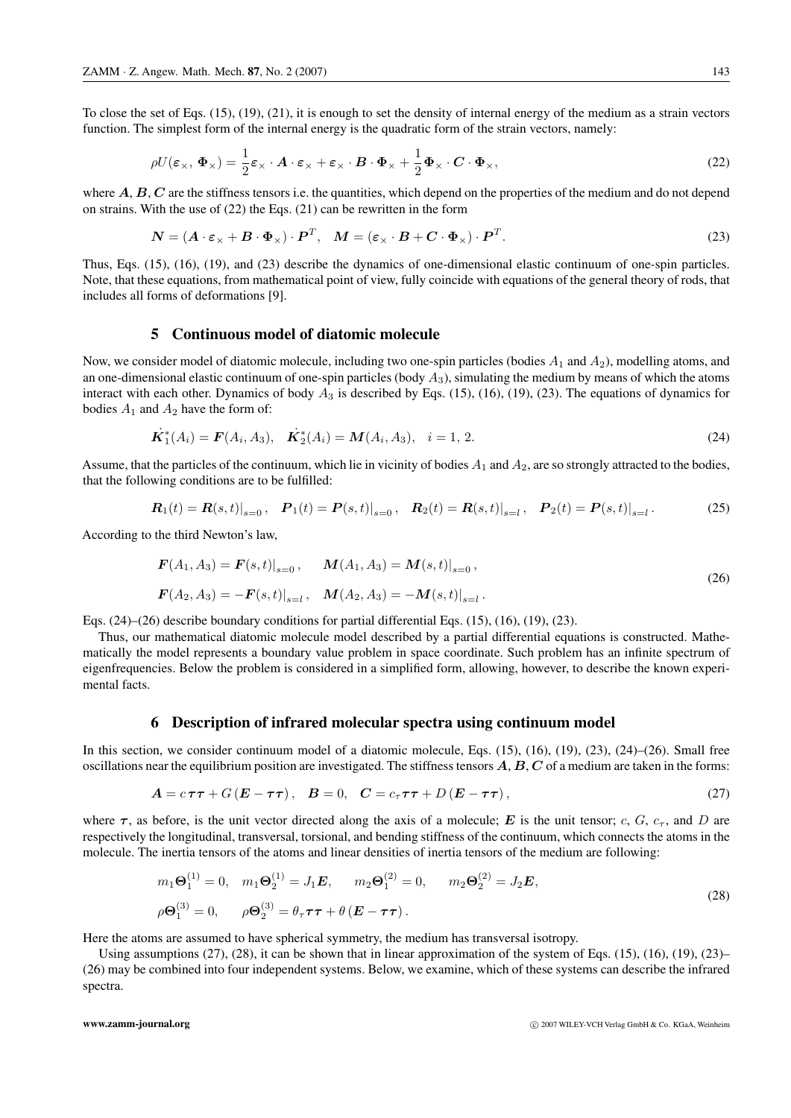To close the set of Eqs. (15), (19), (21), it is enough to set the density of internal energy of the medium as a strain vectors function. The simplest form of the internal energy is the quadratic form of the strain vectors, namely:

$$
\rho U(\varepsilon_{\times}, \, \boldsymbol{\Phi}_{\times}) = \frac{1}{2} \varepsilon_{\times} \cdot \boldsymbol{A} \cdot \varepsilon_{\times} + \varepsilon_{\times} \cdot \boldsymbol{B} \cdot \boldsymbol{\Phi}_{\times} + \frac{1}{2} \boldsymbol{\Phi}_{\times} \cdot \boldsymbol{C} \cdot \boldsymbol{\Phi}_{\times}, \tag{22}
$$

where A, B, C are the stiffness tensors i.e. the quantities, which depend on the properties of the medium and do not depend on strains. With the use of (22) the Eqs. (21) can be rewritten in the form

$$
\mathbf{N} = (\mathbf{A} \cdot \boldsymbol{\varepsilon}_{\times} + \mathbf{B} \cdot \boldsymbol{\Phi}_{\times}) \cdot \mathbf{P}^{T}, \quad \mathbf{M} = (\boldsymbol{\varepsilon}_{\times} \cdot \mathbf{B} + \mathbf{C} \cdot \boldsymbol{\Phi}_{\times}) \cdot \mathbf{P}^{T}.
$$

Thus, Eqs. (15), (16), (19), and (23) describe the dynamics of one-dimensional elastic continuum of one-spin particles. Note, that these equations, from mathematical point of view, fully coincide with equations of the general theory of rods, that includes all forms of deformations [9].

#### **5 Continuous model of diatomic molecule**

Now, we consider model of diatomic molecule, including two one-spin particles (bodies  $A_1$  and  $A_2$ ), modelling atoms, and an one-dimensional elastic continuum of one-spin particles (body  $A_3$ ), simulating the medium by means of which the atoms interact with each other. Dynamics of body  $A_3$  is described by Eqs. (15), (16), (19), (23). The equations of dynamics for bodies  $A_1$  and  $A_2$  have the form of:

$$
\dot{K}_1^*(A_i) = F(A_i, A_3), \quad \dot{K}_2^*(A_i) = M(A_i, A_3), \quad i = 1, 2. \tag{24}
$$

Assume, that the particles of the continuum, which lie in vicinity of bodies  $A_1$  and  $A_2$ , are so strongly attracted to the bodies, that the following conditions are to be fulfilled:

$$
\mathbf{R}_1(t) = \mathbf{R}(s,t)|_{s=0}, \quad \mathbf{P}_1(t) = \mathbf{P}(s,t)|_{s=0}, \quad \mathbf{R}_2(t) = \mathbf{R}(s,t)|_{s=l}, \quad \mathbf{P}_2(t) = \mathbf{P}(s,t)|_{s=l}.
$$
 (25)

According to the third Newton's law,

$$
\mathbf{F}(A_1, A_3) = \mathbf{F}(s, t)|_{s=0}, \qquad \mathbf{M}(A_1, A_3) = \mathbf{M}(s, t)|_{s=0},
$$
  

$$
\mathbf{F}(A_2, A_3) = -\mathbf{F}(s, t)|_{s=l}, \quad \mathbf{M}(A_2, A_3) = -\mathbf{M}(s, t)|_{s=l}.
$$
 (26)

Eqs. (24)–(26) describe boundary conditions for partial differential Eqs. (15), (16), (19), (23).

Thus, our mathematical diatomic molecule model described by a partial differential equations is constructed. Mathematically the model represents a boundary value problem in space coordinate. Such problem has an infinite spectrum of eigenfrequencies. Below the problem is considered in a simplified form, allowing, however, to describe the known experimental facts.

#### **6 Description of infrared molecular spectra using continuum model**

In this section, we consider continuum model of a diatomic molecule, Eqs. (15), (16), (19), (23), (24)–(26). Small free oscillations near the equilibrium position are investigated. The stiffness tensors *A*, *B*, *C* of a medium are taken in the forms:

$$
\mathbf{A} = c\,\boldsymbol{\tau}\boldsymbol{\tau} + G\left(\mathbf{E} - \boldsymbol{\tau}\boldsymbol{\tau}\right), \quad \mathbf{B} = 0, \quad \mathbf{C} = c_{\tau}\boldsymbol{\tau}\boldsymbol{\tau} + D\left(\mathbf{E} - \boldsymbol{\tau}\boldsymbol{\tau}\right), \tag{27}
$$

where  $\tau$ , as before, is the unit vector directed along the axis of a molecule; *E* is the unit tensor; *c*, *G*,  $c<sub>\tau</sub>$ , and *D* are respectively the longitudinal, transversal, torsional, and bending stiffness of the continuum, which connects the atoms in the molecule. The inertia tensors of the atoms and linear densities of inertia tensors of the medium are following:

$$
m_1 \Theta_1^{(1)} = 0, \quad m_1 \Theta_2^{(1)} = J_1 E, \quad m_2 \Theta_1^{(2)} = 0, \quad m_2 \Theta_2^{(2)} = J_2 E,
$$
  

$$
\rho \Theta_1^{(3)} = 0, \quad \rho \Theta_2^{(3)} = \theta_\tau \tau \tau + \theta (E - \tau \tau).
$$
 (28)

Here the atoms are assumed to have spherical symmetry, the medium has transversal isotropy.

Using assumptions  $(27)$ ,  $(28)$ , it can be shown that in linear approximation of the system of Eqs.  $(15)$ ,  $(16)$ ,  $(19)$ ,  $(23)$ – (26) may be combined into four independent systems. Below, we examine, which of these systems can describe the infrared spectra.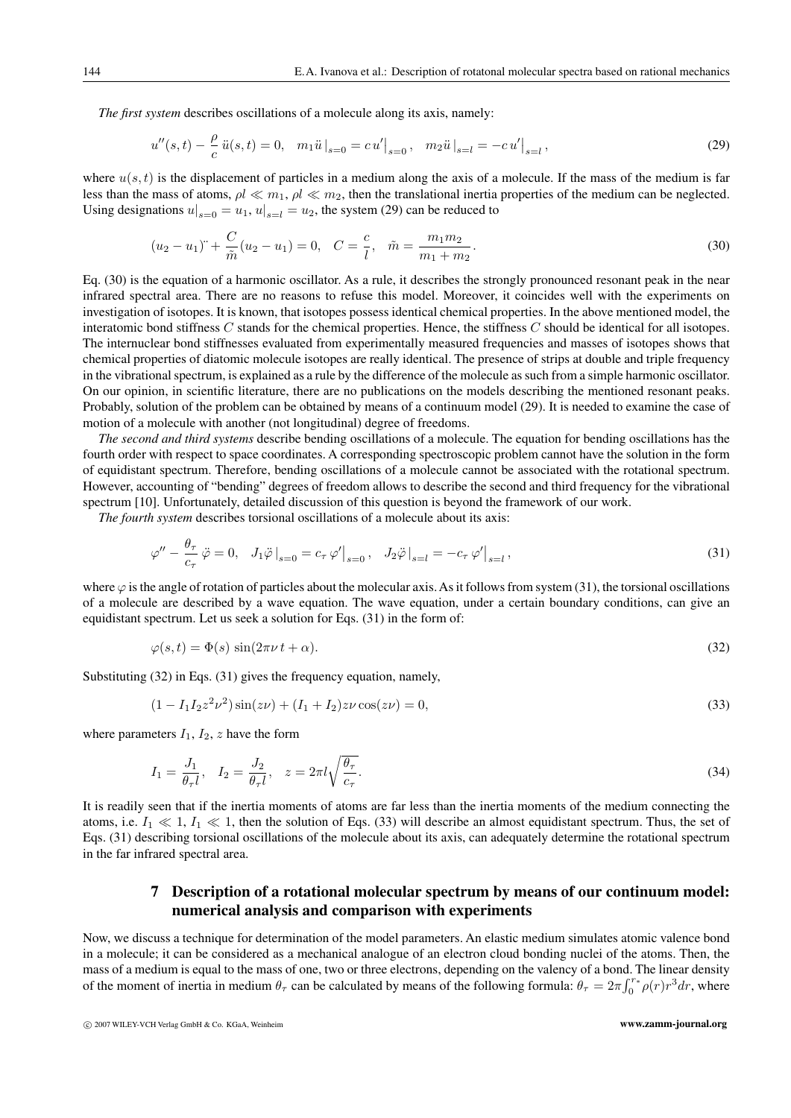*The first system* describes oscillations of a molecule along its axis, namely:

$$
u''(s,t) - \frac{\rho}{c} \ddot{u}(s,t) = 0, \quad m_1 \ddot{u}\big|_{s=0} = c \, u'\big|_{s=0}, \quad m_2 \ddot{u}\big|_{s=l} = -c \, u'\big|_{s=l},\tag{29}
$$

where  $u(s, t)$  is the displacement of particles in a medium along the axis of a molecule. If the mass of the medium is far less than the mass of atoms,  $\rho l \ll m_1, \rho l \ll m_2$ , then the translational inertia properties of the medium can be neglected. Using designations  $u|_{s=0} = u_1$ ,  $u|_{s=t} = u_2$ , the system (29) can be reduced to

$$
(u_2 - u_1)^{\cdot} + \frac{C}{\tilde{m}}(u_2 - u_1) = 0, \quad C = \frac{c}{l}, \quad \tilde{m} = \frac{m_1 m_2}{m_1 + m_2}.
$$
\n(30)

Eq. (30) is the equation of a harmonic oscillator. As a rule, it describes the strongly pronounced resonant peak in the near infrared spectral area. There are no reasons to refuse this model. Moreover, it coincides well with the experiments on investigation of isotopes. It is known, that isotopes possess identical chemical properties. In the above mentioned model, the interatomic bond stiffness C stands for the chemical properties. Hence, the stiffness C should be identical for all isotopes. The internuclear bond stiffnesses evaluated from experimentally measured frequencies and masses of isotopes shows that chemical properties of diatomic molecule isotopes are really identical. The presence of strips at double and triple frequency in the vibrational spectrum, is explained as a rule by the difference of the molecule as such from a simple harmonic oscillator. On our opinion, in scientific literature, there are no publications on the models describing the mentioned resonant peaks. Probably, solution of the problem can be obtained by means of a continuum model (29). It is needed to examine the case of motion of a molecule with another (not longitudinal) degree of freedoms.

*The second and third systems* describe bending oscillations of a molecule. The equation for bending oscillations has the fourth order with respect to space coordinates. A corresponding spectroscopic problem cannot have the solution in the form of equidistant spectrum. Therefore, bending oscillations of a molecule cannot be associated with the rotational spectrum. However, accounting of "bending" degrees of freedom allows to describe the second and third frequency for the vibrational spectrum [10]. Unfortunately, detailed discussion of this question is beyond the framework of our work.

*The fourth system* describes torsional oscillations of a molecule about its axis:

$$
\varphi'' - \frac{\theta_{\tau}}{c_{\tau}} \ddot{\varphi} = 0, \quad J_1 \ddot{\varphi} \big|_{s=0} = c_{\tau} \varphi' \big|_{s=0}, \quad J_2 \ddot{\varphi} \big|_{s=l} = -c_{\tau} \varphi' \big|_{s=l}, \tag{31}
$$

where  $\varphi$  is the angle of rotation of particles about the molecular axis. As it follows from system (31), the torsional oscillations of a molecule are described by a wave equation. The wave equation, under a certain boundary conditions, can give an equidistant spectrum. Let us seek a solution for Eqs. (31) in the form of:

$$
\varphi(s,t) = \Phi(s) \sin(2\pi\nu t + \alpha). \tag{32}
$$

Substituting (32) in Eqs. (31) gives the frequency equation, namely,

$$
(1 - I_1 I_2 z^2 \nu^2) \sin(z\nu) + (I_1 + I_2) z\nu \cos(z\nu) = 0,
$$
\n(33)

where parameters  $I_1$ ,  $I_2$ , z have the form

$$
I_1 = \frac{J_1}{\theta_\tau l}, \quad I_2 = \frac{J_2}{\theta_\tau l}, \quad z = 2\pi l \sqrt{\frac{\theta_\tau}{c_\tau}}.
$$
\n
$$
(34)
$$

It is readily seen that if the inertia moments of atoms are far less than the inertia moments of the medium connecting the atoms, i.e.  $I_1 \ll 1$ ,  $I_1 \ll 1$ , then the solution of Eqs. (33) will describe an almost equidistant spectrum. Thus, the set of Eqs. (31) describing torsional oscillations of the molecule about its axis, can adequately determine the rotational spectrum in the far infrared spectral area.

### **7 Description of a rotational molecular spectrum by means of our continuum model: numerical analysis and comparison with experiments**

Now, we discuss a technique for determination of the model parameters. An elastic medium simulates atomic valence bond in a molecule; it can be considered as a mechanical analogue of an electron cloud bonding nuclei of the atoms. Then, the mass of a medium is equal to the mass of one, two or three electrons, depending on the valency of a bond. The linear density of the moment of inertia in medium  $\theta_\tau$  can be calculated by means of the following formula:  $\theta_\tau = 2\pi \int_0^{r_*} \rho(r) r^3 dr$ , where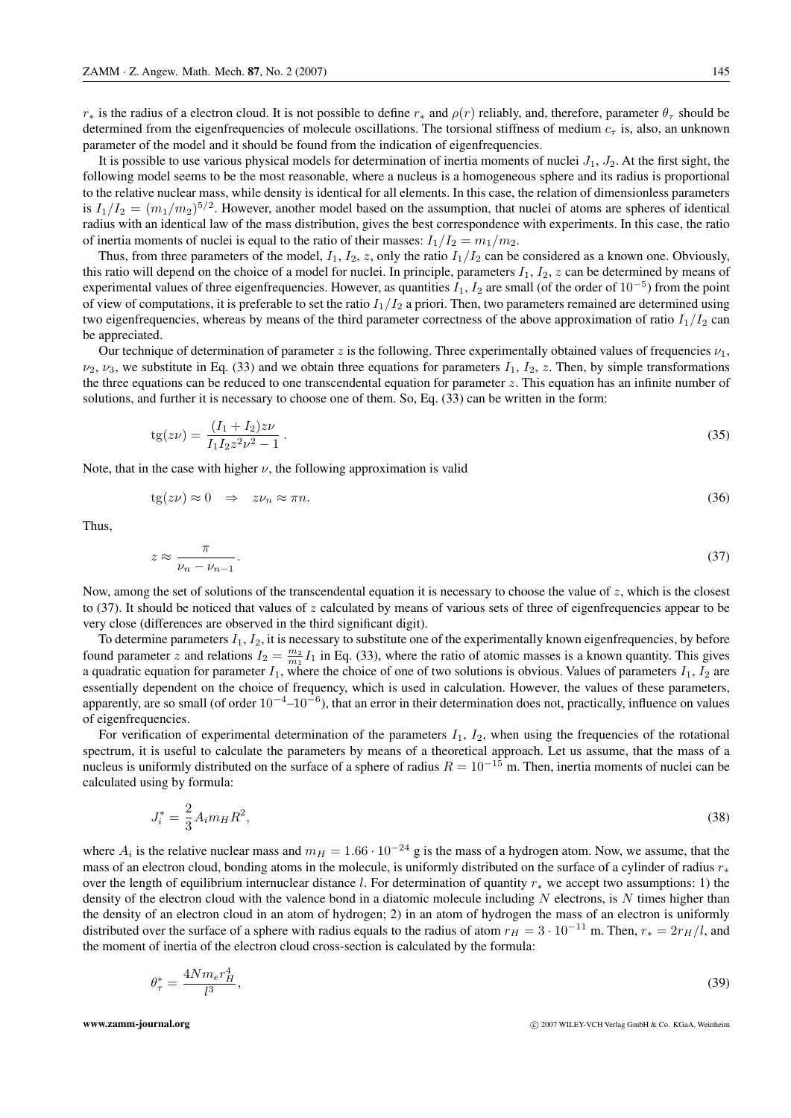$r_{\ast}$  is the radius of a electron cloud. It is not possible to define  $r_{\ast}$  and  $\rho(r)$  reliably, and, therefore, parameter  $\theta_{\tau}$  should be determined from the eigenfrequencies of molecule oscillations. The torsional stiffness of medium  $c<sub>\tau</sub>$  is, also, an unknown parameter of the model and it should be found from the indication of eigenfrequencies.

It is possible to use various physical models for determination of inertia moments of nuclei  $J_1$ ,  $J_2$ . At the first sight, the following model seems to be the most reasonable, where a nucleus is a homogeneous sphere and its radius is proportional to the relative nuclear mass, while density is identical for all elements. In this case, the relation of dimensionless parameters is  $I_1/I_2 = (m_1/m_2)^{5/2}$ . However, another model based on the assumption, that nuclei of atoms are spheres of identical radius with an identical law of the mass distribution, gives the best correspondence with experiments. In this case, the ratio of inertia moments of nuclei is equal to the ratio of their masses:  $I_1/I_2 = m_1/m_2$ .

Thus, from three parameters of the model,  $I_1$ ,  $I_2$ ,  $z$ , only the ratio  $I_1/I_2$  can be considered as a known one. Obviously, this ratio will depend on the choice of a model for nuclei. In principle, parameters  $I_1$ ,  $I_2$ ,  $z$  can be determined by means of experimental values of three eigenfrequencies. However, as quantities  $I_1$ ,  $I_2$  are small (of the order of  $10^{-5}$ ) from the point of view of computations, it is preferable to set the ratio  $I_1/I_2$  a priori. Then, two parameters remained are determined using two eigenfrequencies, whereas by means of the third parameter correctness of the above approximation of ratio  $I_1/I_2$  can be appreciated.

Our technique of determination of parameter z is the following. Three experimentally obtained values of frequencies  $\nu_1$ ,  $\nu_2$ ,  $\nu_3$ , we substitute in Eq. (33) and we obtain three equations for parameters  $I_1$ ,  $I_2$ , z. Then, by simple transformations the three equations can be reduced to one transcendental equation for parameter  $z$ . This equation has an infinite number of solutions, and further it is necessary to choose one of them. So, Eq. (33) can be written in the form:

$$
tg(z\nu) = \frac{(I_1 + I_2)z\nu}{I_1 I_2 z^2 \nu^2 - 1} \,. \tag{35}
$$

Note, that in the case with higher  $\nu$ , the following approximation is valid

$$
tg(z\nu) \approx 0 \quad \Rightarrow \quad z\nu_n \approx \pi n. \tag{36}
$$

Thus,

$$
z \approx \frac{\pi}{\nu_n - \nu_{n-1}}.\tag{37}
$$

Now, among the set of solutions of the transcendental equation it is necessary to choose the value of  $z$ , which is the closest to (37). It should be noticed that values of z calculated by means of various sets of three of eigenfrequencies appear to be very close (differences are observed in the third significant digit).

To determine parameters  $I_1, I_2$ , it is necessary to substitute one of the experimentally known eigenfrequencies, by before found parameter z and relations  $I_2 = \frac{m_2}{m_1} I_1$  in Eq. (33), where the ratio of atomic masses is a known quantity. This gives a quadratic equation for parameter  $I_1$ , where the choice of one of two solutions is obvious. Values of parameters  $I_1$ ,  $I_2$  are essentially dependent on the choice of frequency, which is used in calculation. However, the values of these parameters, apparently, are so small (of order  $10^{-4}$ – $10^{-6}$ ), that an error in their determination does not, practically, influence on values of eigenfrequencies.

For verification of experimental determination of the parameters  $I_1$ ,  $I_2$ , when using the frequencies of the rotational spectrum, it is useful to calculate the parameters by means of a theoretical approach. Let us assume, that the mass of a nucleus is uniformly distributed on the surface of a sphere of radius  $R = 10^{-15}$  m. Then, inertia moments of nuclei can be calculated using by formula:

$$
J_i^* = \frac{2}{3} A_i m_H R^2,\tag{38}
$$

where  $A_i$  is the relative nuclear mass and  $m_H = 1.66 \cdot 10^{-24}$  g is the mass of a hydrogen atom. Now, we assume, that the mass of an electron cloud, bonding atoms in the molecule, is uniformly distributed on the surface of a cylinder of radius  $r_*$ over the length of equilibrium internuclear distance l. For determination of quantity  $r_*$  we accept two assumptions: 1) the density of the electron cloud with the valence bond in a diatomic molecule including  $N$  electrons, is  $N$  times higher than the density of an electron cloud in an atom of hydrogen; 2) in an atom of hydrogen the mass of an electron is uniformly distributed over the surface of a sphere with radius equals to the radius of atom  $r_H = 3 \cdot 10^{-11}$  m. Then,  $r_* = 2r_H/l$ , and the moment of inertia of the electron cloud cross-section is calculated by the formula:

$$
\theta_{\tau}^* = \frac{4Nm_e r_H^4}{l^3},\tag{39}
$$

 $www.zamm-journal.org$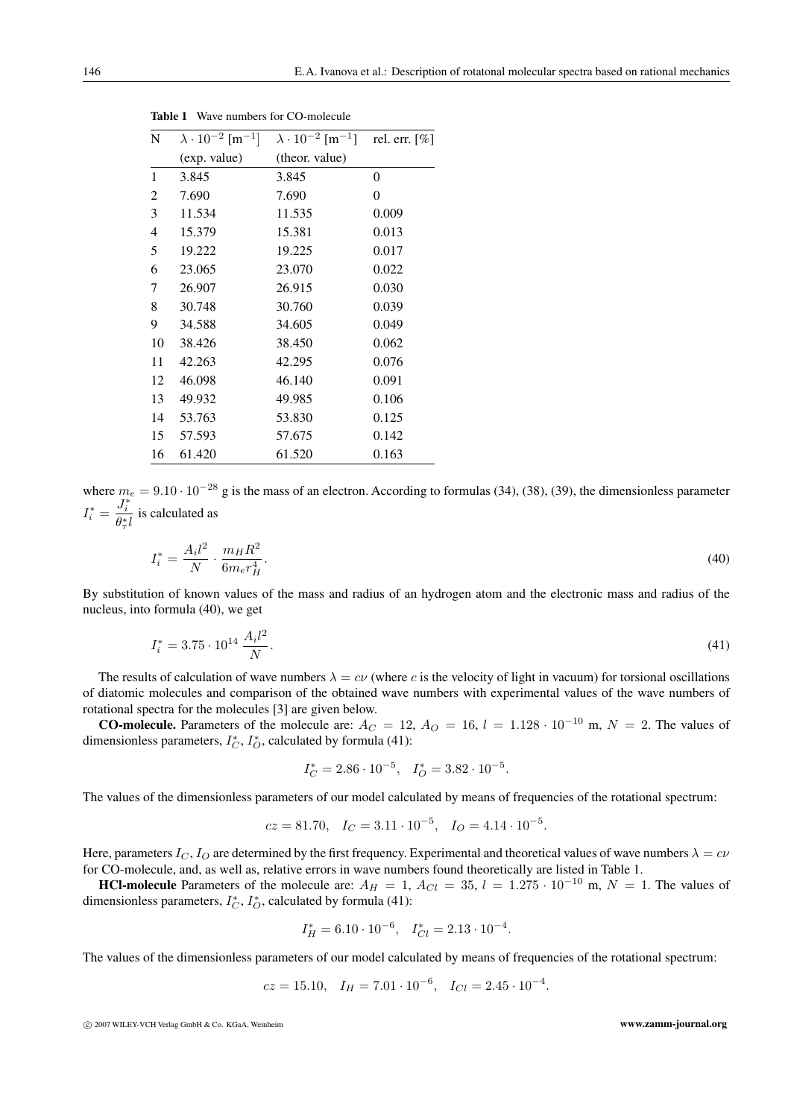| N            | $\lambda \cdot 10^{-2}$ [m <sup>-1</sup> ] | $\lambda \cdot 10^{-2}$ [m <sup>-1</sup> ] | rel. err. $[\%]$ |
|--------------|--------------------------------------------|--------------------------------------------|------------------|
|              | (exp. value)                               | (theor. value)                             |                  |
| $\mathbf{1}$ | 3.845                                      | 3.845                                      | 0                |
| 2            | 7.690                                      | 7.690                                      | 0                |
| 3            | 11.534                                     | 11.535                                     | 0.009            |
| 4            | 15.379                                     | 15.381                                     | 0.013            |
| 5            | 19.222                                     | 19.225                                     | 0.017            |
| 6            | 23.065                                     | 23.070                                     | 0.022            |
| 7            | 26.907                                     | 26.915                                     | 0.030            |
| 8            | 30.748                                     | 30.760                                     | 0.039            |
| 9            | 34.588                                     | 34.605                                     | 0.049            |
| 10           | 38.426                                     | 38.450                                     | 0.062            |
| 11           | 42.263                                     | 42.295                                     | 0.076            |
| 12           | 46.098                                     | 46.140                                     | 0.091            |
| 13           | 49.932                                     | 49.985                                     | 0.106            |
| 14           | 53.763                                     | 53.830                                     | 0.125            |
| 15           | 57.593                                     | 57.675                                     | 0.142            |
| 16           | 61.420                                     | 61.520                                     | 0.163            |

**Table 1** Wave numbers for CO-molecule

where  $m_e = 9.10 \cdot 10^{-28}$  g is the mass of an electron. According to formulas (34), (38), (39), the dimensionless parameter  $I_i^* = \frac{J_i^*}{\theta_{\tau}^* l}$  is calculated as

$$
I_i^* = \frac{A_i l^2}{N} \cdot \frac{m_H R^2}{6m_e r_H^4}.
$$
\n(40)

By substitution of known values of the mass and radius of an hydrogen atom and the electronic mass and radius of the nucleus, into formula (40), we get

$$
I_i^* = 3.75 \cdot 10^{14} \frac{A_i l^2}{N}.
$$
\n<sup>(41)</sup>

The results of calculation of wave numbers  $\lambda = c\nu$  (where c is the velocity of light in vacuum) for torsional oscillations of diatomic molecules and comparison of the obtained wave numbers with experimental values of the wave numbers of rotational spectra for the molecules [3] are given below.

**CO-molecule.** Parameters of the molecule are:  $A_C = 12$ ,  $A_O = 16$ ,  $l = 1.128 \cdot 10^{-10}$  m,  $N = 2$ . The values of dimensionless parameters,  $I_C^*$ ,  $I_O^*$ , calculated by formula (41):

$$
I_C^* = 2.86 \cdot 10^{-5}, \quad I_O^* = 3.82 \cdot 10^{-5}.
$$

The values of the dimensionless parameters of our model calculated by means of frequencies of the rotational spectrum:

$$
cz = 81.70
$$
,  $I_C = 3.11 \cdot 10^{-5}$ ,  $I_O = 4.14 \cdot 10^{-5}$ .

Here, parameters  $I_C$ ,  $I_O$  are determined by the first frequency. Experimental and theoretical values of wave numbers  $\lambda = c\nu$ for CO-molecule, and, as well as, relative errors in wave numbers found theoretically are listed in Table 1.

**HCl-molecule** Parameters of the molecule are:  $A_H = 1$ ,  $A_{Cl} = 35$ ,  $l = 1.275 \cdot 10^{-10}$  m,  $N = 1$ . The values of dimensionless parameters,  $I_C^*$ ,  $I_O^*$ , calculated by formula (41):

$$
I_H^* = 6.10 \cdot 10^{-6}, \quad I_{Cl}^* = 2.13 \cdot 10^{-4}.
$$

The values of the dimensionless parameters of our model calculated by means of frequencies of the rotational spectrum:

$$
cz = 15.10
$$
,  $I_H = 7.01 \cdot 10^{-6}$ ,  $I_{Cl} = 2.45 \cdot 10^{-4}$ .

<sup>-</sup>c 2007 WILEY-VCH Verlag GmbH & Co. KGaA, Weinheim **www.zamm-journal.org**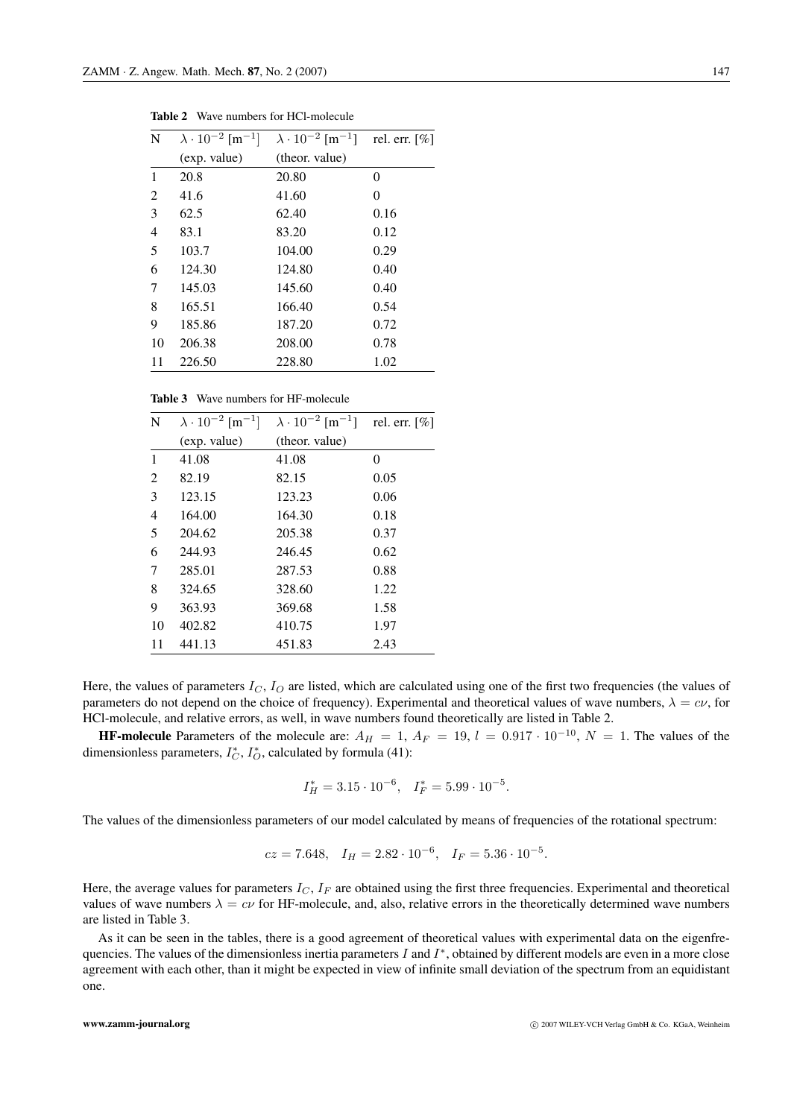| N  | $\lambda \cdot 10^{-2}$ [m <sup>-1</sup> ] | $\lambda \cdot 10^{-2}$ [m <sup>-1</sup> ] | rel. err. $\lceil \% \rceil$ |
|----|--------------------------------------------|--------------------------------------------|------------------------------|
|    | (exp. value)                               | (theor. value)                             |                              |
| 1  | 20.8                                       | 20.80                                      | 0                            |
| 2  | 41.6                                       | 41.60                                      | 0                            |
| 3  | 62.5                                       | 62.40                                      | 0.16                         |
| 4  | 83.1                                       | 83.20                                      | 0.12                         |
| 5  | 103.7                                      | 104.00                                     | 0.29                         |
| 6  | 124.30                                     | 124.80                                     | 0.40                         |
| 7  | 145.03                                     | 145.60                                     | 0.40                         |
| 8  | 165.51                                     | 166.40                                     | 0.54                         |
| 9  | 185.86                                     | 187.20                                     | 0.72                         |
| 10 | 206.38                                     | 208.00                                     | 0.78                         |
| 11 | 226.50                                     | 228.80                                     | 1.02                         |

**Table 2** Wave numbers for HCl-molecule

**Table 3** Wave numbers for HF-molecule

| N  | $\lambda \cdot 10^{-2}$ [m <sup>-1</sup> ] | $\lambda \cdot 10^{-2}$ [m <sup>-1</sup> ] | rel. err. $[\%]$ |
|----|--------------------------------------------|--------------------------------------------|------------------|
|    | (exp. value)                               | (theor. value)                             |                  |
| 1  | 41.08                                      | 41.08                                      | 0                |
| 2  | 82.19                                      | 82.15                                      | 0.05             |
| 3  | 123.15                                     | 123.23                                     | 0.06             |
| 4  | 164.00                                     | 164.30                                     | 0.18             |
| 5  | 204.62                                     | 205.38                                     | 0.37             |
| 6  | 244.93                                     | 246.45                                     | 0.62             |
| 7  | 285.01                                     | 287.53                                     | 0.88             |
| 8  | 324.65                                     | 328.60                                     | 1.22             |
| 9  | 363.93                                     | 369.68                                     | 1.58             |
| 10 | 402.82                                     | 410.75                                     | 1.97             |
| 11 | 441.13                                     | 451.83                                     | 2.43             |

Here, the values of parameters  $I_C$ ,  $I_O$  are listed, which are calculated using one of the first two frequencies (the values of parameters do not depend on the choice of frequency). Experimental and theoretical values of wave numbers,  $\lambda = c\nu$ , for HCl-molecule, and relative errors, as well, in wave numbers found theoretically are listed in Table 2.

**HF-molecule** Parameters of the molecule are:  $A_H = 1$ ,  $A_F = 19$ ,  $l = 0.917 \cdot 10^{-10}$ ,  $N = 1$ . The values of the dimensionless parameters,  $I_C^*$ ,  $I_O^*$ , calculated by formula (41):

$$
I_H^* = 3.15 \cdot 10^{-6}, \quad I_F^* = 5.99 \cdot 10^{-5}.
$$

The values of the dimensionless parameters of our model calculated by means of frequencies of the rotational spectrum:

$$
cz = 7.648
$$
,  $I_H = 2.82 \cdot 10^{-6}$ ,  $I_F = 5.36 \cdot 10^{-5}$ .

Here, the average values for parameters  $I_C$ ,  $I_F$  are obtained using the first three frequencies. Experimental and theoretical values of wave numbers  $\lambda = c \nu$  for HF-molecule, and, also, relative errors in the theoretically determined wave numbers are listed in Table 3.

As it can be seen in the tables, there is a good agreement of theoretical values with experimental data on the eigenfrequencies. The values of the dimensionless inertia parameters I and  $I^*$ , obtained by different models are even in a more close agreement with each other, than it might be expected in view of infinite small deviation of the spectrum from an equidistant one.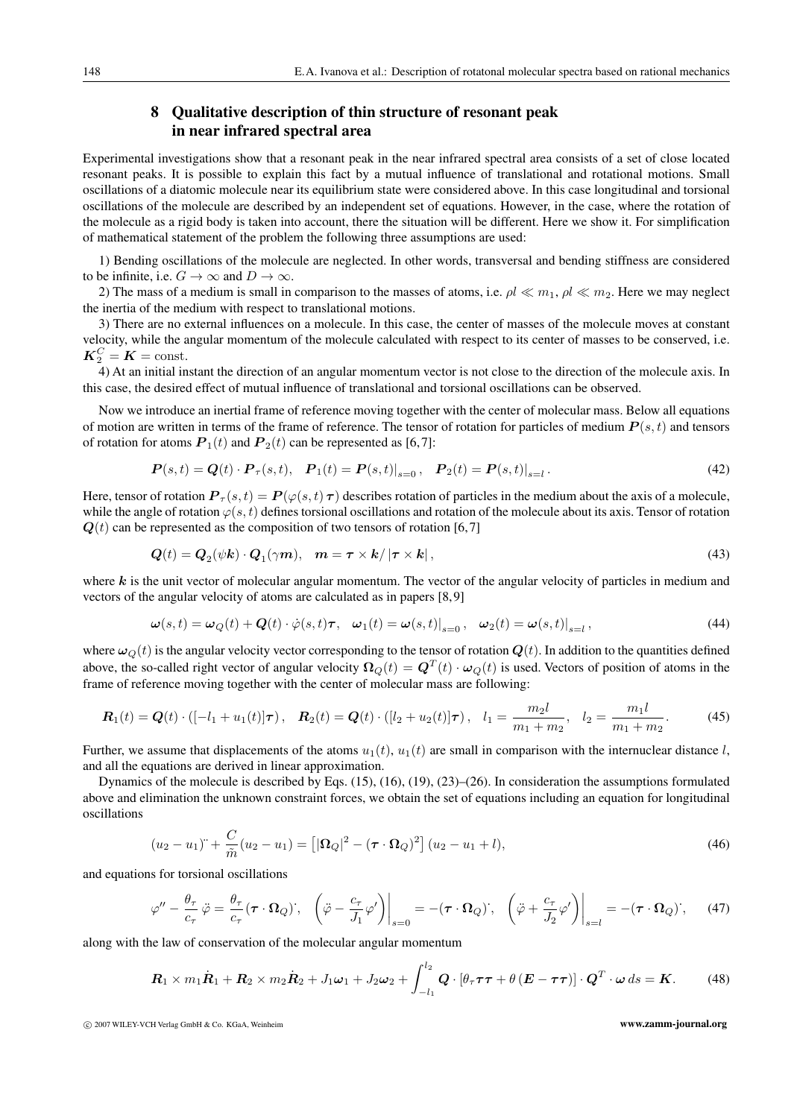## **8 Qualitative description of thin structure of resonant peak in near infrared spectral area**

Experimental investigations show that a resonant peak in the near infrared spectral area consists of a set of close located resonant peaks. It is possible to explain this fact by a mutual influence of translational and rotational motions. Small oscillations of a diatomic molecule near its equilibrium state were considered above. In this case longitudinal and torsional oscillations of the molecule are described by an independent set of equations. However, in the case, where the rotation of the molecule as a rigid body is taken into account, there the situation will be different. Here we show it. For simplification of mathematical statement of the problem the following three assumptions are used:

1) Bending oscillations of the molecule are neglected. In other words, transversal and bending stiffness are considered to be infinite, i.e.  $G \to \infty$  and  $D \to \infty$ .

2) The mass of a medium is small in comparison to the masses of atoms, i.e.  $\rho l \ll m_1$ ,  $\rho l \ll m_2$ . Here we may neglect the inertia of the medium with respect to translational motions.

3) There are no external influences on a molecule. In this case, the center of masses of the molecule moves at constant velocity, while the angular momentum of the molecule calculated with respect to its center of masses to be conserved, i.e.  $K_2^C = K = \text{const.}$ 

4) At an initial instant the direction of an angular momentum vector is not close to the direction of the molecule axis. In this case, the desired effect of mutual influence of translational and torsional oscillations can be observed.

Now we introduce an inertial frame of reference moving together with the center of molecular mass. Below all equations of motion are written in terms of the frame of reference. The tensor of rotation for particles of medium  $P(s, t)$  and tensors of rotation for atoms  $P_1(t)$  and  $P_2(t)$  can be represented as [6,7]:

$$
\boldsymbol{P}(s,t) = \boldsymbol{Q}(t) \cdot \boldsymbol{P}_{\tau}(s,t), \quad \boldsymbol{P}_{1}(t) = \boldsymbol{P}(s,t)|_{s=0}, \quad \boldsymbol{P}_{2}(t) = \boldsymbol{P}(s,t)|_{s=t} \,. \tag{42}
$$

Here, tensor of rotation  $P_{\tau}(s,t) = P(\varphi(s,t) \tau)$  describes rotation of particles in the medium about the axis of a molecule, while the angle of rotation  $\varphi(s, t)$  defines torsional oscillations and rotation of the molecule about its axis. Tensor of rotation  $Q(t)$  can be represented as the composition of two tensors of rotation [6,7]

$$
\mathbf{Q}(t) = \mathbf{Q}_2(\psi \mathbf{k}) \cdot \mathbf{Q}_1(\gamma \mathbf{m}), \quad \mathbf{m} = \boldsymbol{\tau} \times \mathbf{k} / |\boldsymbol{\tau} \times \mathbf{k}| \,, \tag{43}
$$

where **k** is the unit vector of molecular angular momentum. The vector of the angular velocity of particles in medium and vectors of the angular velocity of atoms are calculated as in papers [8, 9]

$$
\boldsymbol{\omega}(s,t) = \boldsymbol{\omega}_Q(t) + \boldsymbol{Q}(t) \cdot \dot{\varphi}(s,t) \boldsymbol{\tau}, \quad \boldsymbol{\omega}_1(t) = \boldsymbol{\omega}(s,t)|_{s=0}, \quad \boldsymbol{\omega}_2(t) = \boldsymbol{\omega}(s,t)|_{s=t}, \tag{44}
$$

where  $\omega<sub>Q</sub>(t)$  is the angular velocity vector corresponding to the tensor of rotation  $Q(t)$ . In addition to the quantities defined above, the so-called right vector of angular velocity  $\Omega_{\Omega}(t) = Q^{T}(t) \cdot \omega_{\Omega}(t)$  is used. Vectors of position of atoms in the frame of reference moving together with the center of molecular mass are following:

$$
\boldsymbol{R}_1(t) = \boldsymbol{Q}(t) \cdot \left( [-l_1 + u_1(t)] \boldsymbol{\tau} \right), \quad \boldsymbol{R}_2(t) = \boldsymbol{Q}(t) \cdot \left( [l_2 + u_2(t)] \boldsymbol{\tau} \right), \quad l_1 = \frac{m_2 l}{m_1 + m_2}, \quad l_2 = \frac{m_1 l}{m_1 + m_2}.
$$
 (45)

Further, we assume that displacements of the atoms  $u_1(t)$ ,  $u_1(t)$  are small in comparison with the internuclear distance l, and all the equations are derived in linear approximation.

Dynamics of the molecule is described by Eqs.  $(15)$ ,  $(16)$ ,  $(19)$ ,  $(23)$ – $(26)$ . In consideration the assumptions formulated above and elimination the unknown constraint forces, we obtain the set of equations including an equation for longitudinal oscillations

$$
(u_2 - u_1)^{\cdot} + \frac{C}{\tilde{m}}(u_2 - u_1) = \left[ |\Omega_Q|^2 - (\tau \cdot \Omega_Q)^2 \right] (u_2 - u_1 + l), \tag{46}
$$

and equations for torsional oscillations

$$
\varphi'' - \frac{\theta_{\tau}}{c_{\tau}} \ddot{\varphi} = \frac{\theta_{\tau}}{c_{\tau}} (\boldsymbol{\tau} \cdot \boldsymbol{\Omega}_{Q}) \, , \quad \left( \ddot{\varphi} - \frac{c_{\tau}}{J_{1}} \varphi' \right) \bigg|_{s=0} = - (\boldsymbol{\tau} \cdot \boldsymbol{\Omega}_{Q}) \, , \quad \left( \ddot{\varphi} + \frac{c_{\tau}}{J_{2}} \varphi' \right) \bigg|_{s=l} = - (\boldsymbol{\tau} \cdot \boldsymbol{\Omega}_{Q}) \, , \quad (47)
$$

along with the law of conservation of the molecular angular momentum

$$
\boldsymbol{R}_1 \times m_1 \dot{\boldsymbol{R}}_1 + \boldsymbol{R}_2 \times m_2 \dot{\boldsymbol{R}}_2 + J_1 \boldsymbol{\omega}_1 + J_2 \boldsymbol{\omega}_2 + \int_{-l_1}^{l_2} \boldsymbol{Q} \cdot [\theta_\tau \boldsymbol{\tau} \boldsymbol{\tau} + \theta (\boldsymbol{E} - \boldsymbol{\tau} \boldsymbol{\tau})] \cdot \boldsymbol{Q}^T \cdot \boldsymbol{\omega} \, ds = \boldsymbol{K}.
$$
 (48)

-c 2007 WILEY-VCH Verlag GmbH & Co. KGaA, Weinheim **www.zamm-journal.org**